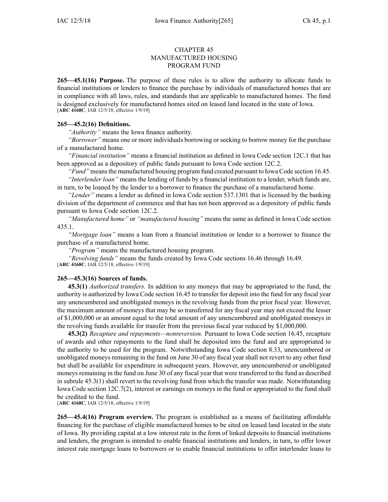## CHAPTER 45 MANUFACTURED HOUSING PROGRAM FUND

**265—45.1(16) Purpose.** The purpose of these rules is to allow the authority to allocate funds to financial institutions or lenders to finance the purchase by individuals of manufactured homes that are in compliance with all laws, rules, and standards that are applicable to manufactured homes. The fund is designed exclusively for manufactured homes sited on leased land located in the state of Iowa. [**ARC [4168C](https://www.legis.iowa.gov/docs/aco/arc/4168C.pdf)**, IAB 12/5/18, effective 1/9/19]

## **265—45.2(16) Definitions.**

*"Authority"* means the Iowa finance authority.

*"Borrower"* means one or more individuals borrowing or seeking to borrow money for the purchase of <sup>a</sup> manufactured home.

*"Financial institution"* means <sup>a</sup> financial institution as defined in Iowa Code section [12C.1](https://www.legis.iowa.gov/docs/ico/section/2018/12C.1.pdf) that has been approved as <sup>a</sup> depository of public funds pursuan<sup>t</sup> to Iowa Code section [12C.2](https://www.legis.iowa.gov/docs/ico/section/2018/12C.2.pdf).

*"Fund"* meansthe manufactured housing program fund created pursuan<sup>t</sup> to Iowa Code section [16.45](https://www.legis.iowa.gov/docs/ico/section/16.45.pdf).

*"Interlender loan"* means the lending of funds by <sup>a</sup> financial institution to <sup>a</sup> lender, which funds are, in turn, to be loaned by the lender to <sup>a</sup> borrower to finance the purchase of <sup>a</sup> manufactured home.

*"Lender"* means <sup>a</sup> lender as defined in Iowa Code section [537.1301](https://www.legis.iowa.gov/docs/ico/section/2018/537.1301.pdf) that is licensed by the banking division of the department of commerce and that has not been approved as <sup>a</sup> depository of public funds pursuan<sup>t</sup> to Iowa Code section [12C.2](https://www.legis.iowa.gov/docs/ico/section/2018/12C.2.pdf).

*"Manufactured home"* or *"manufactured housing"* means the same as defined in Iowa Code section [435.1](https://www.legis.iowa.gov/docs/ico/section/2018/435.1.pdf).

*"Mortgage loan"* means <sup>a</sup> loan from <sup>a</sup> financial institution or lender to <sup>a</sup> borrower to finance the purchase of <sup>a</sup> manufactured home.

*"Program"* means the manufactured housing program.

*"Revolving funds"* means the funds created by Iowa Code sections 16.46 [through](https://www.legis.iowa.gov/docs/ico/section/2018/16.46-49.pdf) 16.49.

[**ARC [4168C](https://www.legis.iowa.gov/docs/aco/arc/4168C.pdf)**, IAB 12/5/18, effective 1/9/19]

## **265—45.3(16) Sources of funds.**

**45.3(1)** *Authorized transfers.* In addition to any moneys that may be appropriated to the fund, the authority is authorized by Iowa Code section [16.45](https://www.legis.iowa.gov/docs/ico/section/16.45.pdf) to transfer for deposit into the fund for any fiscal year any unencumbered and unobligated moneys in the revolving funds from the prior fiscal year. However, the maximum amount of moneys that may be so transferred for any fiscal year may not exceed the lesser of \$1,000,000 or an amount equal to the total amount of any unencumbered and unobligated moneys in the revolving funds available for transfer from the previous fiscal year reduced by \$1,000,000.

**45.3(2)** *Recapture and repayments—nonreversion.* Pursuant to Iowa Code section [16.45](https://www.legis.iowa.gov/docs/ico/section/16.45.pdf), recapture of awards and other repayments to the fund shall be deposited into the fund and are appropriated to the authority to be used for the program. Notwithstanding Iowa Code section [8.33](https://www.legis.iowa.gov/docs/ico/section/2018/8.33.pdf), unencumbered or unobligated moneys remaining in the fund on June 30 of any fiscal year shall not revert to any other fund but shall be available for expenditure in subsequent years. However, any unencumbered or unobligated moneys remaining in the fund on June 30 of any fiscal year that were transferred to the fund as described in subrule 45.3(1) shall revert to the revolving fund from which the transfer was made. Notwithstanding Iowa Code section [12C.7\(2\)](https://www.legis.iowa.gov/docs/ico/section/2018/12C.7.pdf), interest or earnings on moneys in the fund or appropriated to the fund shall be credited to the fund.

[**ARC [4168C](https://www.legis.iowa.gov/docs/aco/arc/4168C.pdf)**, IAB 12/5/18, effective 1/9/19]

**265—45.4(16) Program overview.** The program is established as <sup>a</sup> means of facilitating affordable financing for the purchase of eligible manufactured homes to be sited on leased land located in the state of Iowa. By providing capital at <sup>a</sup> low interest rate in the form of linked deposits to financial institutions and lenders, the program is intended to enable financial institutions and lenders, in turn, to offer lower interest rate mortgage loans to borrowers or to enable financial institutions to offer interlender loans to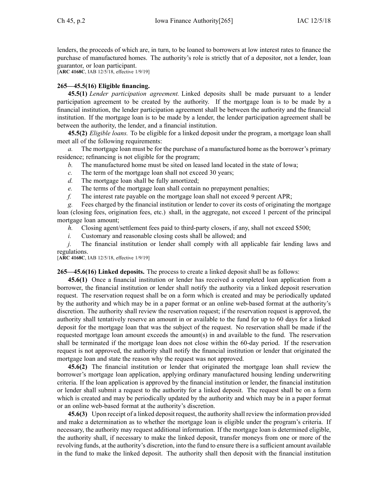lenders, the proceeds of which are, in turn, to be loaned to borrowers at low interest rates to finance the purchase of manufactured homes. The authority's role is strictly that of <sup>a</sup> depositor, not <sup>a</sup> lender, loan guarantor, or loan participant.

[**ARC [4168C](https://www.legis.iowa.gov/docs/aco/arc/4168C.pdf)**, IAB 12/5/18, effective 1/9/19]

## **265—45.5(16) Eligible financing.**

**45.5(1)** *Lender participation agreement.* Linked deposits shall be made pursuan<sup>t</sup> to <sup>a</sup> lender participation agreemen<sup>t</sup> to be created by the authority. If the mortgage loan is to be made by <sup>a</sup> financial institution, the lender participation agreemen<sup>t</sup> shall be between the authority and the financial institution. If the mortgage loan is to be made by <sup>a</sup> lender, the lender participation agreemen<sup>t</sup> shall be between the authority, the lender, and <sup>a</sup> financial institution.

**45.5(2)** *Eligible loans.* To be eligible for <sup>a</sup> linked deposit under the program, <sup>a</sup> mortgage loan shall meet all of the following requirements:

*a.* The mortgage loan must be for the purchase of <sup>a</sup> manufactured home as the borrower's primary residence; refinancing is not eligible for the program;

*b.* The manufactured home must be sited on leased land located in the state of Iowa;

- *c.* The term of the mortgage loan shall not exceed 30 years;
- *d.* The mortgage loan shall be fully amortized;
- *e.* The terms of the mortgage loan shall contain no prepaymen<sup>t</sup> penalties;
- *f.* The interest rate payable on the mortgage loan shall not exceed 9 percen<sup>t</sup> APR;

*g.* Fees charged by the financial institution or lender to cover its costs of originating the mortgage loan (closing fees, origination fees, etc.) shall, in the aggregate, not exceed 1 percen<sup>t</sup> of the principal mortgage loan amount;

*h.* Closing agent/settlement fees paid to third-party closers, if any, shall not exceed \$500;

*i.* Customary and reasonable closing costs shall be allowed; and

*j.* The financial institution or lender shall comply with all applicable fair lending laws and regulations.

[**ARC [4168C](https://www.legis.iowa.gov/docs/aco/arc/4168C.pdf)**, IAB 12/5/18, effective 1/9/19]

**265—45.6(16) Linked deposits.** The process to create <sup>a</sup> linked deposit shall be as follows:

**45.6(1)** Once <sup>a</sup> financial institution or lender has received <sup>a</sup> completed loan application from <sup>a</sup> borrower, the financial institution or lender shall notify the authority via <sup>a</sup> linked deposit reservation request. The reservation reques<sup>t</sup> shall be on <sup>a</sup> form which is created and may be periodically updated by the authority and which may be in <sup>a</sup> paper format or an online web-based format at the authority's discretion. The authority shall review the reservation request; if the reservation reques<sup>t</sup> is approved, the authority shall tentatively reserve an amount in or available to the fund for up to 60 days for <sup>a</sup> linked deposit for the mortgage loan that was the subject of the request. No reservation shall be made if the requested mortgage loan amount exceeds the amount(s) in and available to the fund. The reservation shall be terminated if the mortgage loan does not close within the 60-day period. If the reservation reques<sup>t</sup> is not approved, the authority shall notify the financial institution or lender that originated the mortgage loan and state the reason why the reques<sup>t</sup> was not approved.

**45.6(2)** The financial institution or lender that originated the mortgage loan shall review the borrower's mortgage loan application, applying ordinary manufactured housing lending underwriting criteria. If the loan application is approved by the financial institution or lender, the financial institution or lender shall submit <sup>a</sup> reques<sup>t</sup> to the authority for <sup>a</sup> linked deposit. The reques<sup>t</sup> shall be on <sup>a</sup> form which is created and may be periodically updated by the authority and which may be in <sup>a</sup> paper format or an online web-based format at the authority's discretion.

**45.6(3)** Upon receipt of <sup>a</sup> linked deposit request, the authority shall review the information provided and make <sup>a</sup> determination as to whether the mortgage loan is eligible under the program's criteria. If necessary, the authority may reques<sup>t</sup> additional information. If the mortgage loan is determined eligible, the authority shall, if necessary to make the linked deposit, transfer moneys from one or more of the revolving funds, at the authority's discretion, into the fund to ensure there is <sup>a</sup> sufficient amount available in the fund to make the linked deposit. The authority shall then deposit with the financial institution